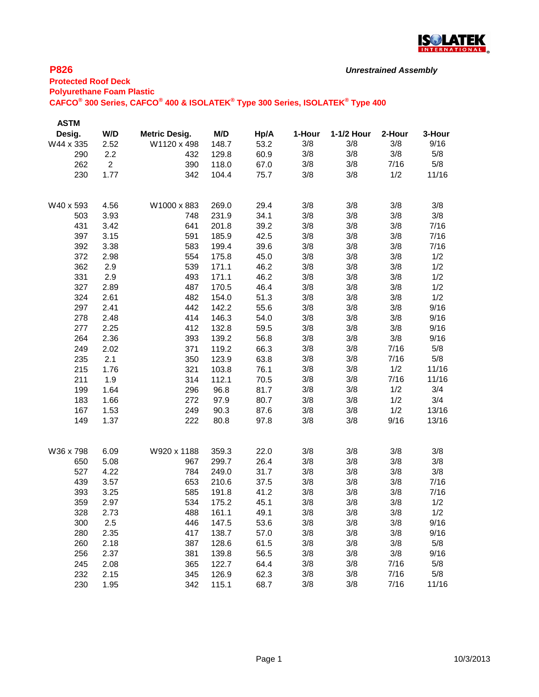

| <b>ASTM</b> |                |                      |       |      |        |            |        |        |
|-------------|----------------|----------------------|-------|------|--------|------------|--------|--------|
| Desig.      | W/D            | <b>Metric Desig.</b> | M/D   | Hp/A | 1-Hour | 1-1/2 Hour | 2-Hour | 3-Hour |
| W44 x 335   | 2.52           | W1120 x 498          | 148.7 | 53.2 | 3/8    | 3/8        | 3/8    | 9/16   |
| 290         | 2.2            | 432                  | 129.8 | 60.9 | 3/8    | 3/8        | 3/8    | 5/8    |
| 262         | $\overline{2}$ | 390                  | 118.0 | 67.0 | 3/8    | 3/8        | 7/16   | 5/8    |
| 230         | 1.77           | 342                  | 104.4 | 75.7 | 3/8    | 3/8        | 1/2    | 11/16  |
|             |                |                      |       |      |        |            |        |        |
| W40 x 593   | 4.56           | W1000 x 883          | 269.0 | 29.4 | 3/8    | 3/8        | 3/8    | 3/8    |
| 503         | 3.93           | 748                  | 231.9 | 34.1 | 3/8    | 3/8        | 3/8    | 3/8    |
| 431         | 3.42           | 641                  | 201.8 | 39.2 | 3/8    | 3/8        | 3/8    | 7/16   |
| 397         | 3.15           | 591                  | 185.9 | 42.5 | 3/8    | 3/8        | 3/8    | 7/16   |
| 392         | 3.38           | 583                  | 199.4 | 39.6 | 3/8    | 3/8        | 3/8    | 7/16   |
| 372         | 2.98           | 554                  | 175.8 | 45.0 | 3/8    | 3/8        | 3/8    | 1/2    |
| 362         | 2.9            | 539                  | 171.1 | 46.2 | 3/8    | 3/8        | 3/8    | 1/2    |
| 331         | 2.9            | 493                  | 171.1 | 46.2 | 3/8    | 3/8        | 3/8    | 1/2    |
| 327         | 2.89           | 487                  | 170.5 | 46.4 | 3/8    | 3/8        | 3/8    | 1/2    |
| 324         | 2.61           | 482                  | 154.0 | 51.3 | 3/8    | 3/8        | 3/8    | 1/2    |
| 297         | 2.41           | 442                  | 142.2 | 55.6 | 3/8    | 3/8        | 3/8    | 9/16   |
| 278         | 2.48           | 414                  | 146.3 | 54.0 | 3/8    | 3/8        | 3/8    | 9/16   |
| 277         | 2.25           | 412                  | 132.8 | 59.5 | 3/8    | 3/8        | 3/8    | 9/16   |
| 264         | 2.36           | 393                  | 139.2 | 56.8 | 3/8    | 3/8        | 3/8    | 9/16   |
| 249         | 2.02           | 371                  | 119.2 | 66.3 | 3/8    | 3/8        | 7/16   | 5/8    |
| 235         | 2.1            | 350                  | 123.9 | 63.8 | 3/8    | 3/8        | 7/16   | 5/8    |
| 215         | 1.76           | 321                  | 103.8 | 76.1 | 3/8    | 3/8        | 1/2    | 11/16  |
| 211         | 1.9            | 314                  | 112.1 | 70.5 | 3/8    | 3/8        | 7/16   | 11/16  |
| 199         | 1.64           | 296                  | 96.8  | 81.7 | 3/8    | 3/8        | 1/2    | 3/4    |
| 183         | 1.66           | 272                  | 97.9  | 80.7 | 3/8    | 3/8        | 1/2    | 3/4    |
| 167         | 1.53           | 249                  | 90.3  | 87.6 | 3/8    | 3/8        | 1/2    | 13/16  |
| 149         | 1.37           | 222                  | 80.8  | 97.8 | 3/8    | 3/8        | 9/16   | 13/16  |
|             |                |                      |       |      |        |            |        |        |
| W36 x 798   | 6.09           | W920 x 1188          | 359.3 | 22.0 | 3/8    | 3/8        | 3/8    | 3/8    |
| 650         | 5.08           | 967                  | 299.7 | 26.4 | 3/8    | 3/8        | 3/8    | 3/8    |
| 527         | 4.22           | 784                  | 249.0 | 31.7 | 3/8    | 3/8        | 3/8    | 3/8    |
| 439         | 3.57           | 653                  | 210.6 | 37.5 | 3/8    | 3/8        | 3/8    | 7/16   |
| 393         | 3.25           | 585                  | 191.8 | 41.2 | 3/8    | 3/8        | 3/8    | 7/16   |
| 359         | 2.97           | 534                  | 175.2 | 45.1 | 3/8    | 3/8        | 3/8    | 1/2    |
| 328         | 2.73           | 488                  | 161.1 | 49.1 | 3/8    | 3/8        | 3/8    | 1/2    |
| 300         | 2.5            | 446                  | 147.5 | 53.6 | 3/8    | 3/8        | 3/8    | 9/16   |
| 280         | 2.35           | 417                  | 138.7 | 57.0 | 3/8    | 3/8        | 3/8    | 9/16   |
| 260         | 2.18           | 387                  | 128.6 | 61.5 | 3/8    | 3/8        | 3/8    | 5/8    |
| 256         | 2.37           | 381                  | 139.8 | 56.5 | 3/8    | 3/8        | 3/8    | 9/16   |
| 245         | 2.08           | 365                  | 122.7 | 64.4 | 3/8    | 3/8        | 7/16   | 5/8    |
| 232         | 2.15           | 345                  | 126.9 | 62.3 | 3/8    | 3/8        | 7/16   | 5/8    |
| 230         | 1.95           | 342                  | 115.1 | 68.7 | 3/8    | 3/8        | 7/16   | 11/16  |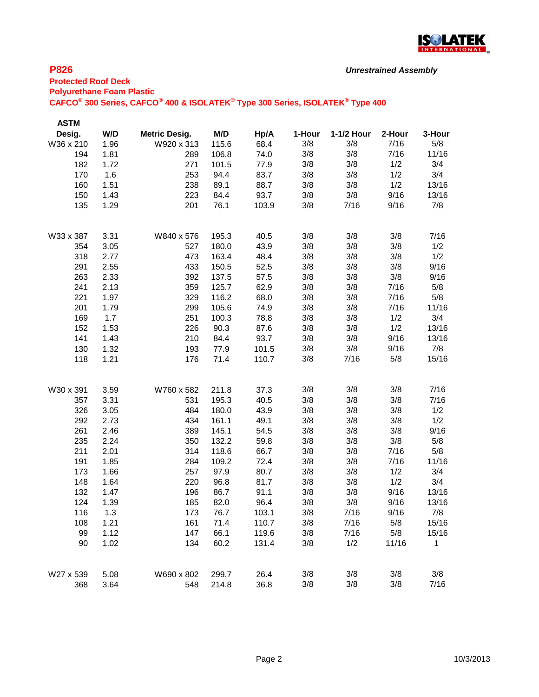

| <b>ASTM</b> |      |                      |       |       |        |            |        |        |
|-------------|------|----------------------|-------|-------|--------|------------|--------|--------|
| Desig.      | W/D  | <b>Metric Desig.</b> | M/D   | Hp/A  | 1-Hour | 1-1/2 Hour | 2-Hour | 3-Hour |
| W36 x 210   | 1.96 | W920 x 313           | 115.6 | 68.4  | 3/8    | 3/8        | 7/16   | 5/8    |
| 194         | 1.81 | 289                  | 106.8 | 74.0  | 3/8    | 3/8        | 7/16   | 11/16  |
| 182         | 1.72 | 271                  | 101.5 | 77.9  | 3/8    | 3/8        | 1/2    | 3/4    |
| 170         | 1.6  | 253                  | 94.4  | 83.7  | 3/8    | 3/8        | 1/2    | 3/4    |
| 160         | 1.51 | 238                  | 89.1  | 88.7  | 3/8    | 3/8        | 1/2    | 13/16  |
| 150         | 1.43 | 223                  | 84.4  | 93.7  | 3/8    | 3/8        | 9/16   | 13/16  |
| 135         | 1.29 | 201                  | 76.1  | 103.9 | 3/8    | 7/16       | 9/16   | 7/8    |
| W33 x 387   | 3.31 | W840 x 576           | 195.3 | 40.5  | 3/8    | 3/8        | 3/8    | 7/16   |
| 354         | 3.05 | 527                  | 180.0 | 43.9  | 3/8    | 3/8        | 3/8    | 1/2    |
| 318         | 2.77 | 473                  | 163.4 | 48.4  | 3/8    | 3/8        | 3/8    | 1/2    |
| 291         | 2.55 | 433                  | 150.5 | 52.5  | 3/8    | 3/8        | 3/8    | 9/16   |
| 263         | 2.33 | 392                  | 137.5 | 57.5  | 3/8    | 3/8        | 3/8    | 9/16   |
| 241         | 2.13 | 359                  | 125.7 | 62.9  | 3/8    | 3/8        | 7/16   | 5/8    |
| 221         | 1.97 | 329                  | 116.2 | 68.0  | 3/8    | 3/8        | 7/16   | 5/8    |
| 201         | 1.79 | 299                  | 105.6 | 74.9  | 3/8    | 3/8        | 7/16   | 11/16  |
| 169         | 1.7  | 251                  | 100.3 | 78.8  | 3/8    | 3/8        | 1/2    | 3/4    |
| 152         | 1.53 | 226                  | 90.3  | 87.6  | 3/8    | 3/8        | 1/2    | 13/16  |
| 141         | 1.43 | 210                  | 84.4  | 93.7  | 3/8    | 3/8        | 9/16   | 13/16  |
| 130         | 1.32 | 193                  | 77.9  | 101.5 | 3/8    | 3/8        | 9/16   | 7/8    |
| 118         | 1.21 | 176                  | 71.4  | 110.7 | 3/8    | 7/16       | 5/8    | 15/16  |
| W30 x 391   | 3.59 | W760 x 582           | 211.8 | 37.3  | 3/8    | 3/8        | 3/8    | 7/16   |
| 357         | 3.31 | 531                  | 195.3 | 40.5  | 3/8    | 3/8        | 3/8    | 7/16   |
| 326         | 3.05 | 484                  | 180.0 | 43.9  | 3/8    | 3/8        | 3/8    | 1/2    |
| 292         | 2.73 | 434                  | 161.1 | 49.1  | 3/8    | 3/8        | 3/8    | 1/2    |
| 261         | 2.46 | 389                  | 145.1 | 54.5  | 3/8    | 3/8        | 3/8    | 9/16   |
| 235         | 2.24 | 350                  | 132.2 | 59.8  | 3/8    | 3/8        | 3/8    | 5/8    |
| 211         | 2.01 | 314                  | 118.6 | 66.7  | 3/8    | 3/8        | 7/16   | 5/8    |
| 191         | 1.85 | 284                  | 109.2 | 72.4  | 3/8    | 3/8        | 7/16   | 11/16  |
| 173         | 1.66 | 257                  | 97.9  | 80.7  | 3/8    | 3/8        | 1/2    | 3/4    |
| 148         | 1.64 | 220                  | 96.8  | 81.7  | 3/8    | 3/8        | 1/2    | 3/4    |
| 132         | 1.47 | 196                  | 86.7  | 91.1  | 3/8    | 3/8        | 9/16   | 13/16  |
| 124         | 1.39 | 185                  | 82.0  | 96.4  | 3/8    | 3/8        | 9/16   | 13/16  |
| 116         | 1.3  | 173                  | 76.7  | 103.1 | 3/8    | 7/16       | 9/16   | 7/8    |
| 108         | 1.21 | 161                  | 71.4  | 110.7 | 3/8    | 7/16       | 5/8    | 15/16  |
| 99          | 1.12 | 147                  | 66.1  | 119.6 | 3/8    | 7/16       | 5/8    | 15/16  |
| 90          | 1.02 | 134                  | 60.2  | 131.4 | 3/8    | 1/2        | 11/16  | 1      |
| W27 x 539   | 5.08 | W690 x 802           | 299.7 | 26.4  | 3/8    | 3/8        | 3/8    | 3/8    |
| 368         | 3.64 | 548                  | 214.8 | 36.8  | 3/8    | 3/8        | 3/8    | 7/16   |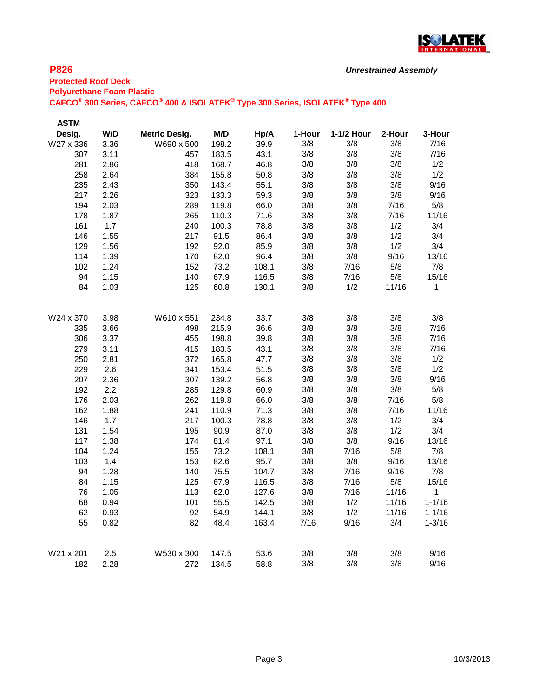

| <b>ASTM</b> |      |                      |       |       |        |            |        |              |
|-------------|------|----------------------|-------|-------|--------|------------|--------|--------------|
| Desig.      | W/D  | <b>Metric Desig.</b> | M/D   | Hp/A  | 1-Hour | 1-1/2 Hour | 2-Hour | 3-Hour       |
| W27 x 336   | 3.36 | W690 x 500           | 198.2 | 39.9  | 3/8    | 3/8        | 3/8    | 7/16         |
| 307         | 3.11 | 457                  | 183.5 | 43.1  | 3/8    | 3/8        | 3/8    | 7/16         |
| 281         | 2.86 | 418                  | 168.7 | 46.8  | 3/8    | 3/8        | 3/8    | 1/2          |
| 258         | 2.64 | 384                  | 155.8 | 50.8  | 3/8    | 3/8        | 3/8    | 1/2          |
| 235         | 2.43 | 350                  | 143.4 | 55.1  | 3/8    | 3/8        | 3/8    | 9/16         |
| 217         | 2.26 | 323                  | 133.3 | 59.3  | 3/8    | 3/8        | 3/8    | 9/16         |
| 194         | 2.03 | 289                  | 119.8 | 66.0  | 3/8    | 3/8        | 7/16   | 5/8          |
| 178         | 1.87 | 265                  | 110.3 | 71.6  | 3/8    | 3/8        | 7/16   | 11/16        |
| 161         | 1.7  | 240                  | 100.3 | 78.8  | 3/8    | 3/8        | 1/2    | 3/4          |
| 146         | 1.55 | 217                  | 91.5  | 86.4  | 3/8    | 3/8        | 1/2    | 3/4          |
| 129         | 1.56 | 192                  | 92.0  | 85.9  | 3/8    | 3/8        | 1/2    | 3/4          |
| 114         | 1.39 | 170                  | 82.0  | 96.4  | 3/8    | 3/8        | 9/16   | 13/16        |
| 102         | 1.24 | 152                  | 73.2  | 108.1 | 3/8    | 7/16       | 5/8    | 7/8          |
| 94          | 1.15 | 140                  | 67.9  | 116.5 | 3/8    | 7/16       | 5/8    | 15/16        |
| 84          | 1.03 | 125                  | 60.8  | 130.1 | 3/8    | 1/2        | 11/16  | 1            |
| W24 x 370   | 3.98 | W610 x 551           | 234.8 | 33.7  | 3/8    | 3/8        | 3/8    | 3/8          |
| 335         | 3.66 | 498                  | 215.9 | 36.6  | 3/8    | 3/8        | 3/8    | 7/16         |
| 306         | 3.37 | 455                  | 198.8 | 39.8  | 3/8    | 3/8        | 3/8    | 7/16         |
| 279         | 3.11 | 415                  | 183.5 | 43.1  | 3/8    | 3/8        | 3/8    | 7/16         |
| 250         | 2.81 | 372                  | 165.8 | 47.7  | 3/8    | 3/8        | 3/8    | 1/2          |
| 229         | 2.6  | 341                  | 153.4 | 51.5  | 3/8    | 3/8        | 3/8    | 1/2          |
| 207         | 2.36 | 307                  | 139.2 | 56.8  | 3/8    | 3/8        | 3/8    | 9/16         |
| 192         | 2.2  | 285                  | 129.8 | 60.9  | 3/8    | 3/8        | 3/8    | 5/8          |
| 176         | 2.03 | 262                  | 119.8 | 66.0  | 3/8    | 3/8        | 7/16   | 5/8          |
| 162         | 1.88 | 241                  | 110.9 | 71.3  | 3/8    | 3/8        | 7/16   | 11/16        |
| 146         | 1.7  | 217                  | 100.3 | 78.8  | 3/8    | 3/8        | 1/2    | 3/4          |
| 131         | 1.54 | 195                  | 90.9  | 87.0  | 3/8    | 3/8        | 1/2    | 3/4          |
| 117         | 1.38 | 174                  | 81.4  | 97.1  | 3/8    | 3/8        | 9/16   | 13/16        |
| 104         | 1.24 | 155                  | 73.2  | 108.1 | 3/8    | 7/16       | 5/8    | 7/8          |
| 103         | 1.4  | 153                  | 82.6  | 95.7  | 3/8    | 3/8        | 9/16   | 13/16        |
| 94          | 1.28 | 140                  | 75.5  | 104.7 | 3/8    | 7/16       | 9/16   | 7/8          |
| 84          | 1.15 | 125                  | 67.9  | 116.5 | 3/8    | 7/16       | 5/8    | 15/16        |
| 76          | 1.05 | 113                  | 62.0  | 127.6 | 3/8    | 7/16       | 11/16  | $\mathbf{1}$ |
| 68          | 0.94 | 101                  | 55.5  | 142.5 | 3/8    | 1/2        | 11/16  | $1 - 1/16$   |
| 62          | 0.93 | 92                   | 54.9  | 144.1 | 3/8    | 1/2        | 11/16  | $1 - 1/16$   |
| 55          | 0.82 | 82                   | 48.4  | 163.4 | 7/16   | 9/16       | 3/4    | $1 - 3/16$   |
| W21 x 201   | 2.5  | W530 x 300           | 147.5 | 53.6  | 3/8    | 3/8        | 3/8    | 9/16         |
| 182         | 2.28 | 272                  | 134.5 | 58.8  | 3/8    | 3/8        | 3/8    | 9/16         |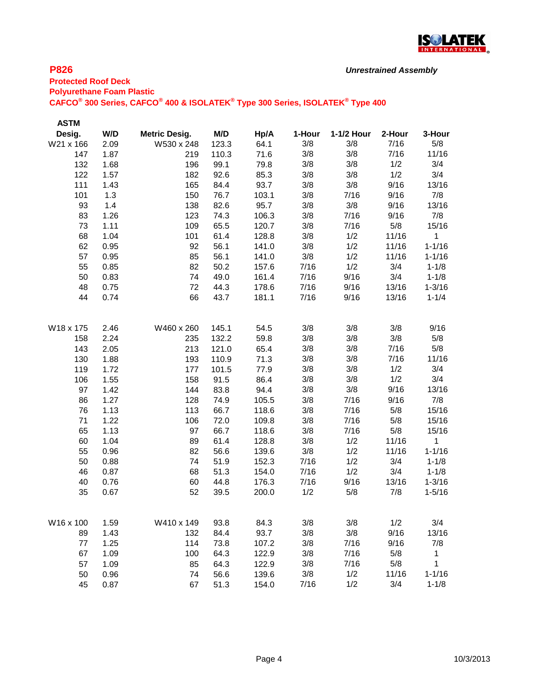

| <b>ASTM</b> |      |                      |       |       |        |            |        |              |
|-------------|------|----------------------|-------|-------|--------|------------|--------|--------------|
| Desig.      | W/D  | <b>Metric Desig.</b> | M/D   | Hp/A  | 1-Hour | 1-1/2 Hour | 2-Hour | 3-Hour       |
| W21 x 166   | 2.09 | W530 x 248           | 123.3 | 64.1  | 3/8    | 3/8        | 7/16   | 5/8          |
| 147         | 1.87 | 219                  | 110.3 | 71.6  | 3/8    | 3/8        | 7/16   | 11/16        |
| 132         | 1.68 | 196                  | 99.1  | 79.8  | 3/8    | 3/8        | 1/2    | 3/4          |
| 122         | 1.57 | 182                  | 92.6  | 85.3  | 3/8    | 3/8        | 1/2    | 3/4          |
| 111         | 1.43 | 165                  | 84.4  | 93.7  | 3/8    | 3/8        | 9/16   | 13/16        |
| 101         | 1.3  | 150                  | 76.7  | 103.1 | 3/8    | 7/16       | 9/16   | 7/8          |
| 93          | 1.4  | 138                  | 82.6  | 95.7  | 3/8    | 3/8        | 9/16   | 13/16        |
| 83          | 1.26 | 123                  | 74.3  | 106.3 | 3/8    | 7/16       | 9/16   | 7/8          |
| 73          | 1.11 | 109                  | 65.5  | 120.7 | 3/8    | 7/16       | 5/8    | 15/16        |
| 68          | 1.04 | 101                  | 61.4  | 128.8 | 3/8    | 1/2        | 11/16  | 1            |
| 62          | 0.95 | 92                   | 56.1  | 141.0 | 3/8    | 1/2        | 11/16  | $1 - 1/16$   |
| 57          | 0.95 | 85                   | 56.1  | 141.0 | 3/8    | 1/2        | 11/16  | $1 - 1/16$   |
| 55          | 0.85 | 82                   | 50.2  | 157.6 | 7/16   | 1/2        | 3/4    | $1 - 1/8$    |
| 50          | 0.83 | 74                   | 49.0  | 161.4 | 7/16   | 9/16       | 3/4    | $1 - 1/8$    |
| 48          | 0.75 | 72                   | 44.3  | 178.6 | 7/16   | 9/16       | 13/16  | $1 - 3/16$   |
| 44          | 0.74 | 66                   | 43.7  | 181.1 | 7/16   | 9/16       | 13/16  | $1 - 1/4$    |
|             |      |                      |       |       |        |            |        |              |
| W18 x 175   | 2.46 | W460 x 260           | 145.1 | 54.5  | 3/8    | 3/8        | 3/8    | 9/16         |
| 158         | 2.24 | 235                  | 132.2 | 59.8  | 3/8    | 3/8        | 3/8    | 5/8          |
| 143         | 2.05 | 213                  | 121.0 | 65.4  | 3/8    | 3/8        | 7/16   | 5/8          |
| 130         | 1.88 | 193                  | 110.9 | 71.3  | 3/8    | 3/8        | 7/16   | 11/16        |
| 119         | 1.72 | 177                  | 101.5 | 77.9  | 3/8    | 3/8        | 1/2    | 3/4          |
| 106         | 1.55 | 158                  | 91.5  | 86.4  | 3/8    | 3/8        | 1/2    | 3/4          |
| 97          | 1.42 | 144                  | 83.8  | 94.4  | 3/8    | 3/8        | 9/16   | 13/16        |
| 86          | 1.27 | 128                  | 74.9  | 105.5 | 3/8    | 7/16       | 9/16   | 7/8          |
| 76          | 1.13 | 113                  | 66.7  | 118.6 | 3/8    | 7/16       | 5/8    | 15/16        |
| 71          | 1.22 | 106                  | 72.0  | 109.8 | 3/8    | 7/16       | 5/8    | 15/16        |
| 65          | 1.13 | 97                   | 66.7  | 118.6 | 3/8    | 7/16       | 5/8    | 15/16        |
| 60          | 1.04 | 89                   | 61.4  | 128.8 | 3/8    | 1/2        | 11/16  | 1            |
| 55          | 0.96 | 82                   | 56.6  | 139.6 | 3/8    | 1/2        | 11/16  | $1 - 1/16$   |
| 50          | 0.88 | 74                   | 51.9  | 152.3 | 7/16   | 1/2        | 3/4    | $1 - 1/8$    |
| 46          | 0.87 | 68                   | 51.3  | 154.0 | 7/16   | 1/2        | 3/4    | $1 - 1/8$    |
| 40          | 0.76 | 60                   | 44.8  | 176.3 | 7/16   | 9/16       | 13/16  | $1 - 3/16$   |
| 35          | 0.67 | 52                   | 39.5  | 200.0 | 1/2    | 5/8        | 7/8    | $1 - 5/16$   |
|             |      |                      |       |       |        |            |        |              |
| W16 x 100   | 1.59 | W410 x 149           | 93.8  | 84.3  | 3/8    | 3/8        | 1/2    | 3/4          |
| 89          | 1.43 | 132                  | 84.4  | 93.7  | 3/8    | 3/8        | 9/16   | 13/16        |
| $77$        | 1.25 | 114                  | 73.8  | 107.2 | 3/8    | 7/16       | 9/16   | 7/8          |
| 67          | 1.09 | 100                  | 64.3  | 122.9 | 3/8    | 7/16       | 5/8    | $\mathbf{1}$ |
| 57          | 1.09 | 85                   | 64.3  | 122.9 | 3/8    | 7/16       | 5/8    | 1            |
| 50          | 0.96 | 74                   | 56.6  | 139.6 | 3/8    | 1/2        | 11/16  | $1 - 1/16$   |
| 45          | 0.87 | 67                   | 51.3  | 154.0 | 7/16   | 1/2        | 3/4    | $1 - 1/8$    |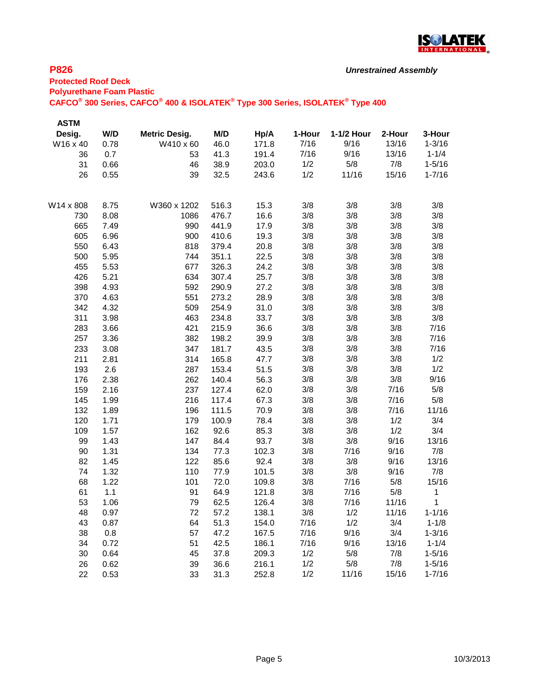

| <b>ASTM</b> |      |                      |       |       |        |            |        |              |
|-------------|------|----------------------|-------|-------|--------|------------|--------|--------------|
| Desig.      | W/D  | <b>Metric Desig.</b> | M/D   | Hp/A  | 1-Hour | 1-1/2 Hour | 2-Hour | 3-Hour       |
| W16 x 40    | 0.78 | W410 x 60            | 46.0  | 171.8 | 7/16   | 9/16       | 13/16  | $1 - 3/16$   |
| 36          | 0.7  | 53                   | 41.3  | 191.4 | 7/16   | 9/16       | 13/16  | $1 - 1/4$    |
| 31          | 0.66 | 46                   | 38.9  | 203.0 | 1/2    | 5/8        | 7/8    | $1 - 5/16$   |
| 26          | 0.55 | 39                   | 32.5  | 243.6 | 1/2    | 11/16      | 15/16  | $1 - 7/16$   |
| W14 x 808   | 8.75 | W360 x 1202          | 516.3 | 15.3  | 3/8    | 3/8        | 3/8    | 3/8          |
| 730         | 8.08 | 1086                 | 476.7 | 16.6  | 3/8    | 3/8        | 3/8    | 3/8          |
| 665         | 7.49 | 990                  | 441.9 | 17.9  | 3/8    | 3/8        | 3/8    | 3/8          |
| 605         | 6.96 | 900                  | 410.6 | 19.3  | 3/8    | 3/8        | 3/8    | 3/8          |
| 550         | 6.43 | 818                  | 379.4 | 20.8  | 3/8    | 3/8        | 3/8    | 3/8          |
| 500         | 5.95 | 744                  | 351.1 | 22.5  | 3/8    | 3/8        | 3/8    | 3/8          |
| 455         | 5.53 | 677                  | 326.3 | 24.2  | 3/8    | 3/8        | 3/8    | 3/8          |
| 426         | 5.21 | 634                  | 307.4 | 25.7  | 3/8    | 3/8        | 3/8    | 3/8          |
| 398         | 4.93 | 592                  | 290.9 | 27.2  | 3/8    | 3/8        | 3/8    | 3/8          |
| 370         | 4.63 | 551                  | 273.2 | 28.9  | 3/8    | 3/8        | 3/8    | 3/8          |
| 342         | 4.32 | 509                  | 254.9 | 31.0  | 3/8    | 3/8        | 3/8    | 3/8          |
| 311         | 3.98 | 463                  | 234.8 | 33.7  | 3/8    | 3/8        | 3/8    | 3/8          |
| 283         | 3.66 | 421                  | 215.9 | 36.6  | 3/8    | 3/8        | 3/8    | 7/16         |
| 257         | 3.36 | 382                  | 198.2 | 39.9  | 3/8    | 3/8        | 3/8    | 7/16         |
| 233         | 3.08 | 347                  | 181.7 | 43.5  | 3/8    | 3/8        | 3/8    | 7/16         |
| 211         | 2.81 | 314                  | 165.8 | 47.7  | 3/8    | 3/8        | 3/8    | 1/2          |
| 193         | 2.6  | 287                  | 153.4 | 51.5  | 3/8    | 3/8        | 3/8    | 1/2          |
| 176         | 2.38 | 262                  | 140.4 | 56.3  | 3/8    | 3/8        | 3/8    | 9/16         |
| 159         | 2.16 | 237                  | 127.4 | 62.0  | 3/8    | 3/8        | 7/16   | 5/8          |
| 145         | 1.99 | 216                  | 117.4 | 67.3  | 3/8    | 3/8        | 7/16   | 5/8          |
| 132         | 1.89 | 196                  | 111.5 | 70.9  | 3/8    | 3/8        | 7/16   | 11/16        |
| 120         | 1.71 | 179                  | 100.9 | 78.4  | 3/8    | 3/8        | 1/2    | 3/4          |
| 109         | 1.57 | 162                  | 92.6  | 85.3  | 3/8    | 3/8        | 1/2    | 3/4          |
| 99          | 1.43 | 147                  | 84.4  | 93.7  | 3/8    | 3/8        | 9/16   | 13/16        |
| 90          | 1.31 | 134                  | 77.3  | 102.3 | 3/8    | 7/16       | 9/16   | 7/8          |
| 82          | 1.45 | 122                  | 85.6  | 92.4  | 3/8    | 3/8        | 9/16   | 13/16        |
| 74          | 1.32 | 110                  | 77.9  | 101.5 | 3/8    | 3/8        | 9/16   | 7/8          |
| 68          | 1.22 | 101                  | 72.0  | 109.8 | 3/8    | 7/16       | 5/8    | 15/16        |
| 61          | 1.1  | 91                   | 64.9  | 121.8 | 3/8    | 7/16       | 5/8    | $\mathbf{1}$ |
| 53          | 1.06 | 79                   | 62.5  | 126.4 | 3/8    | 7/16       | 11/16  | 1            |
| 48          | 0.97 | 72                   | 57.2  | 138.1 | 3/8    | 1/2        | 11/16  | $1 - 1/16$   |
| 43          | 0.87 | 64                   | 51.3  | 154.0 | 7/16   | 1/2        | 3/4    | $1 - 1/8$    |
| 38          | 0.8  | 57                   | 47.2  | 167.5 | 7/16   | 9/16       | 3/4    | $1 - 3/16$   |
| 34          | 0.72 | 51                   | 42.5  | 186.1 | 7/16   | 9/16       | 13/16  | $1 - 1/4$    |
| 30          | 0.64 | 45                   | 37.8  | 209.3 | 1/2    | 5/8        | 7/8    | $1 - 5/16$   |
| 26          | 0.62 | 39                   | 36.6  | 216.1 | 1/2    | 5/8        | 7/8    | $1 - 5/16$   |
| 22          | 0.53 | 33                   | 31.3  | 252.8 | 1/2    | 11/16      | 15/16  | $1 - 7/16$   |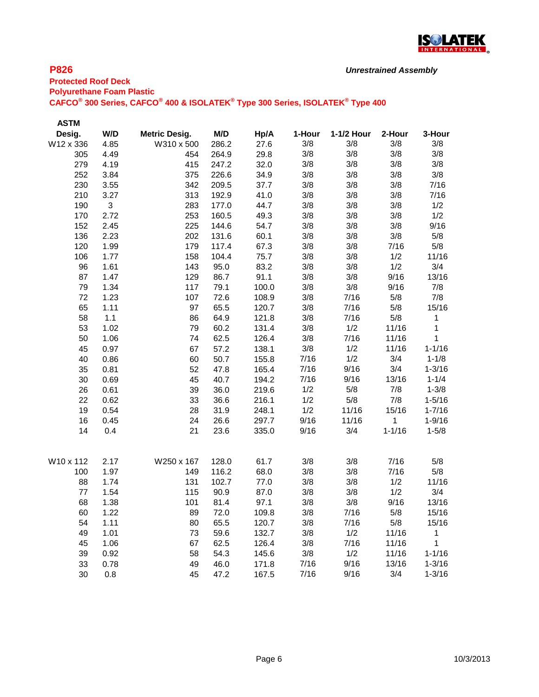

| <b>ASTM</b> |                |                      |       |       |        |            |            |            |
|-------------|----------------|----------------------|-------|-------|--------|------------|------------|------------|
| Desig.      | W/D            | <b>Metric Desig.</b> | M/D   | Hp/A  | 1-Hour | 1-1/2 Hour | 2-Hour     | 3-Hour     |
| W12 x 336   | 4.85           | W310 x 500           | 286.2 | 27.6  | 3/8    | 3/8        | 3/8        | 3/8        |
| 305         | 4.49           | 454                  | 264.9 | 29.8  | 3/8    | 3/8        | 3/8        | 3/8        |
| 279         | 4.19           | 415                  | 247.2 | 32.0  | 3/8    | 3/8        | 3/8        | 3/8        |
| 252         | 3.84           | 375                  | 226.6 | 34.9  | 3/8    | 3/8        | 3/8        | 3/8        |
| 230         | 3.55           | 342                  | 209.5 | 37.7  | 3/8    | 3/8        | 3/8        | 7/16       |
| 210         | 3.27           | 313                  | 192.9 | 41.0  | 3/8    | 3/8        | 3/8        | 7/16       |
| 190         | $\mathfrak{B}$ | 283                  | 177.0 | 44.7  | 3/8    | 3/8        | 3/8        | 1/2        |
| 170         | 2.72           | 253                  | 160.5 | 49.3  | 3/8    | 3/8        | 3/8        | 1/2        |
| 152         | 2.45           | 225                  | 144.6 | 54.7  | 3/8    | 3/8        | 3/8        | 9/16       |
| 136         | 2.23           | 202                  | 131.6 | 60.1  | 3/8    | 3/8        | 3/8        | 5/8        |
| 120         | 1.99           | 179                  | 117.4 | 67.3  | 3/8    | 3/8        | 7/16       | 5/8        |
| 106         | 1.77           | 158                  | 104.4 | 75.7  | 3/8    | 3/8        | 1/2        | 11/16      |
| 96          | 1.61           | 143                  | 95.0  | 83.2  | 3/8    | 3/8        | 1/2        | 3/4        |
| 87          | 1.47           | 129                  | 86.7  | 91.1  | 3/8    | 3/8        | 9/16       | 13/16      |
| 79          | 1.34           | 117                  | 79.1  | 100.0 | 3/8    | 3/8        | 9/16       | 7/8        |
| 72          | 1.23           | 107                  | 72.6  | 108.9 | 3/8    | 7/16       | 5/8        | 7/8        |
| 65          | 1.11           | 97                   | 65.5  | 120.7 | 3/8    | 7/16       | 5/8        | 15/16      |
| 58          | 1.1            | 86                   | 64.9  | 121.8 | 3/8    | 7/16       | 5/8        | 1          |
| 53          | 1.02           | 79                   | 60.2  | 131.4 | 3/8    | 1/2        | 11/16      | 1          |
| 50          | 1.06           | 74                   | 62.5  | 126.4 | 3/8    | 7/16       | 11/16      | 1          |
| 45          | 0.97           | 67                   | 57.2  | 138.1 | 3/8    | 1/2        | 11/16      | $1 - 1/16$ |
| 40          | 0.86           | 60                   | 50.7  | 155.8 | 7/16   | 1/2        | 3/4        | $1 - 1/8$  |
| 35          | 0.81           | 52                   | 47.8  | 165.4 | 7/16   | 9/16       | 3/4        | $1 - 3/16$ |
| 30          | 0.69           | 45                   | 40.7  | 194.2 | 7/16   | 9/16       | 13/16      | $1 - 1/4$  |
| 26          | 0.61           | 39                   | 36.0  | 219.6 | 1/2    | 5/8        | 7/8        | $1 - 3/8$  |
| 22          | 0.62           | 33                   | 36.6  | 216.1 | 1/2    | 5/8        | 7/8        | $1 - 5/16$ |
| 19          | 0.54           | 28                   | 31.9  | 248.1 | 1/2    | 11/16      | 15/16      | $1 - 7/16$ |
| 16          | 0.45           | 24                   | 26.6  | 297.7 | 9/16   | 11/16      | 1          | $1 - 9/16$ |
| 14          | 0.4            | 21                   | 23.6  | 335.0 | 9/16   | 3/4        | $1 - 1/16$ | $1 - 5/8$  |
| W10 x 112   | 2.17           | W250 x 167           | 128.0 | 61.7  | 3/8    | 3/8        | 7/16       | 5/8        |
| 100         | 1.97           | 149                  | 116.2 | 68.0  | 3/8    | 3/8        | 7/16       | 5/8        |
| 88          | 1.74           | 131                  | 102.7 | 77.0  | 3/8    | 3/8        | 1/2        | 11/16      |
| 77          | 1.54           | 115                  | 90.9  | 87.0  | 3/8    | 3/8        | 1/2        | 3/4        |
| 68          | 1.38           | 101                  | 81.4  | 97.1  | 3/8    | 3/8        | 9/16       | 13/16      |
| 60          | 1.22           | 89                   | 72.0  | 109.8 | 3/8    | 7/16       | 5/8        | 15/16      |
| 54          | 1.11           | 80                   | 65.5  | 120.7 | 3/8    | 7/16       | 5/8        | 15/16      |
| 49          | 1.01           | 73                   | 59.6  | 132.7 | 3/8    | 1/2        | 11/16      | 1          |
| 45          | 1.06           | 67                   | 62.5  | 126.4 | 3/8    | 7/16       | 11/16      | 1          |
| 39          | 0.92           | 58                   | 54.3  | 145.6 | 3/8    | 1/2        | 11/16      | $1 - 1/16$ |
| 33          | 0.78           | 49                   | 46.0  | 171.8 | 7/16   | 9/16       | 13/16      | $1 - 3/16$ |
| 30          | $0.8\,$        | 45                   | 47.2  | 167.5 | 7/16   | 9/16       | 3/4        | $1 - 3/16$ |